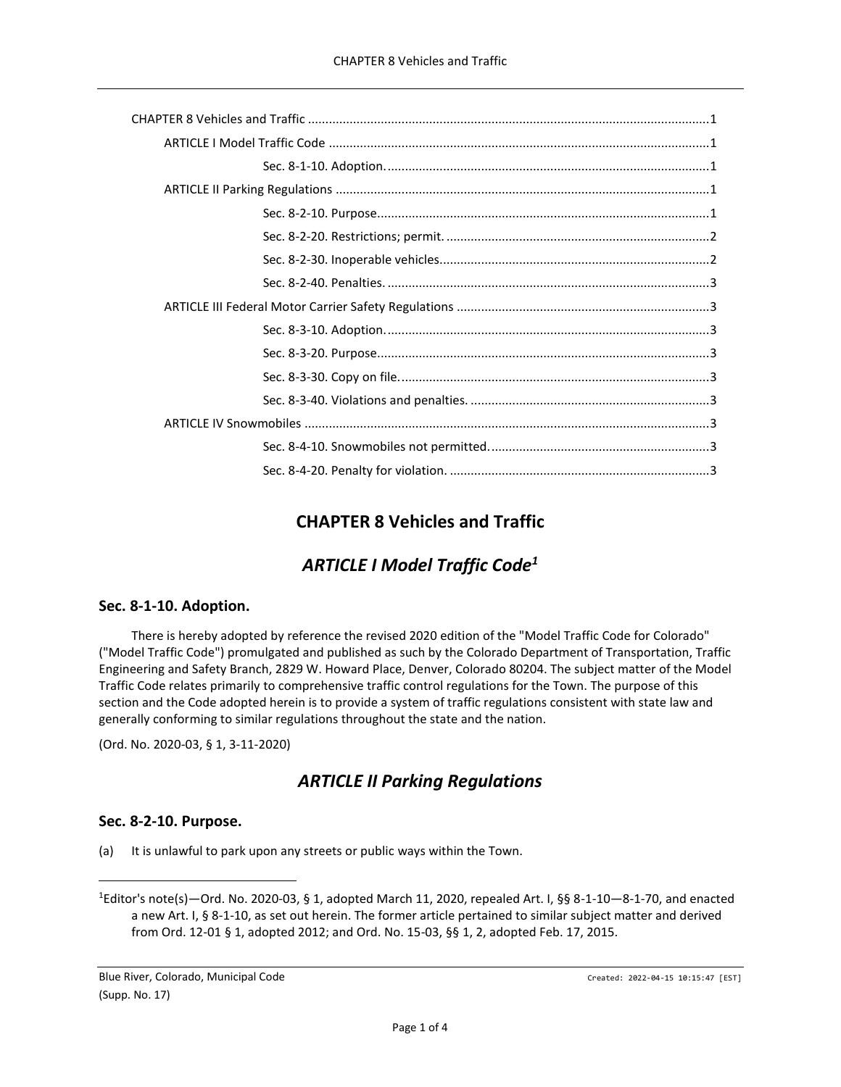## **CHAPTER 8 Vehicles and Traffic**

# *ARTICLE I Model Traffic Code<sup>1</sup>*

## <span id="page-0-2"></span><span id="page-0-1"></span><span id="page-0-0"></span>**Sec. 8-1-10. Adoption.**

There is hereby adopted by reference the revised 2020 edition of the "Model Traffic Code for Colorado" ("Model Traffic Code") promulgated and published as such by the Colorado Department of Transportation, Traffic Engineering and Safety Branch, 2829 W. Howard Place, Denver, Colorado 80204. The subject matter of the Model Traffic Code relates primarily to comprehensive traffic control regulations for the Town. The purpose of this section and the Code adopted herein is to provide a system of traffic regulations consistent with state law and generally conforming to similar regulations throughout the state and the nation.

<span id="page-0-3"></span>(Ord. No. 2020-03, § 1, 3-11-2020)

## *ARTICLE II Parking Regulations*

## <span id="page-0-4"></span>**Sec. 8-2-10. Purpose.**

(a) It is unlawful to park upon any streets or public ways within the Town.

<sup>&</sup>lt;sup>1</sup>Editor's note(s)—Ord. No. 2020-03, § 1, adopted March 11, 2020, repealed Art. I, §§ 8-1-10—8-1-70, and enacted a new Art. I, § 8-1-10, as set out herein. The former article pertained to similar subject matter and derived from Ord. 12-01 § 1, adopted 2012; and Ord. No. 15-03, §§ 1, 2, adopted Feb. 17, 2015.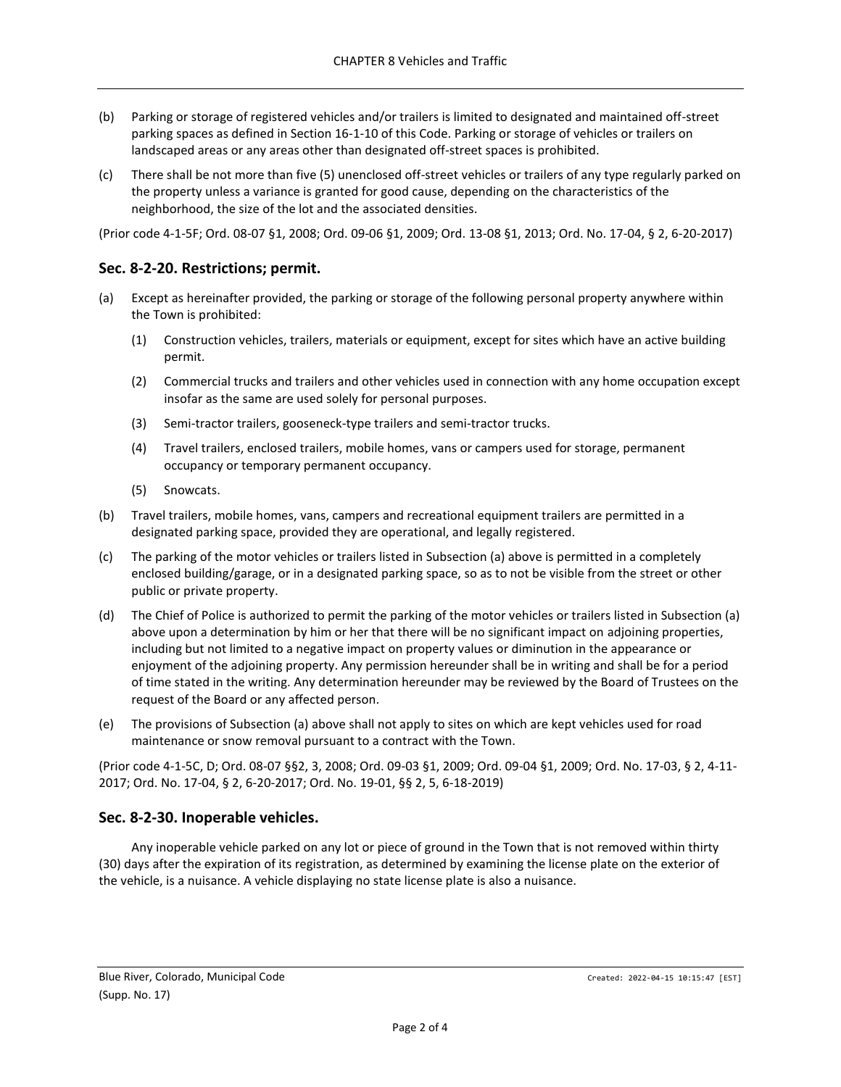- (b) Parking or storage of registered vehicles and/or trailers is limited to designated and maintained off-street parking spaces as defined in Section 16-1-10 of this Code. Parking or storage of vehicles or trailers on landscaped areas or any areas other than designated off-street spaces is prohibited.
- (c) There shall be not more than five (5) unenclosed off-street vehicles or trailers of any type regularly parked on the property unless a variance is granted for good cause, depending on the characteristics of the neighborhood, the size of the lot and the associated densities.

(Prior code 4-1-5F; Ord. 08-07 §1, 2008; Ord. 09-06 §1, 2009; Ord. 13-08 §1, 2013; Ord. No. 17-04, § 2, 6-20-2017)

## <span id="page-1-0"></span>**Sec. 8-2-20. Restrictions; permit.**

- (a) Except as hereinafter provided, the parking or storage of the following personal property anywhere within the Town is prohibited:
	- (1) Construction vehicles, trailers, materials or equipment, except for sites which have an active building permit.
	- (2) Commercial trucks and trailers and other vehicles used in connection with any home occupation except insofar as the same are used solely for personal purposes.
	- (3) Semi-tractor trailers, gooseneck-type trailers and semi-tractor trucks.
	- (4) Travel trailers, enclosed trailers, mobile homes, vans or campers used for storage, permanent occupancy or temporary permanent occupancy.
	- (5) Snowcats.
- (b) Travel trailers, mobile homes, vans, campers and recreational equipment trailers are permitted in a designated parking space, provided they are operational, and legally registered.
- (c) The parking of the motor vehicles or trailers listed in Subsection (a) above is permitted in a completely enclosed building/garage, or in a designated parking space, so as to not be visible from the street or other public or private property.
- (d) The Chief of Police is authorized to permit the parking of the motor vehicles or trailers listed in Subsection (a) above upon a determination by him or her that there will be no significant impact on adjoining properties, including but not limited to a negative impact on property values or diminution in the appearance or enjoyment of the adjoining property. Any permission hereunder shall be in writing and shall be for a period of time stated in the writing. Any determination hereunder may be reviewed by the Board of Trustees on the request of the Board or any affected person.
- (e) The provisions of Subsection (a) above shall not apply to sites on which are kept vehicles used for road maintenance or snow removal pursuant to a contract with the Town.

(Prior code 4-1-5C, D; Ord. 08-07 §§2, 3, 2008; Ord. 09-03 §1, 2009; Ord. 09-04 §1, 2009; Ord. No. 17-03, § 2, 4-11- 2017; Ord. No. 17-04, § 2, 6-20-2017; Ord. No. 19-01, §§ 2, 5, 6-18-2019)

## <span id="page-1-1"></span>**Sec. 8-2-30. Inoperable vehicles.**

Any inoperable vehicle parked on any lot or piece of ground in the Town that is not removed within thirty (30) days after the expiration of its registration, as determined by examining the license plate on the exterior of the vehicle, is a nuisance. A vehicle displaying no state license plate is also a nuisance.